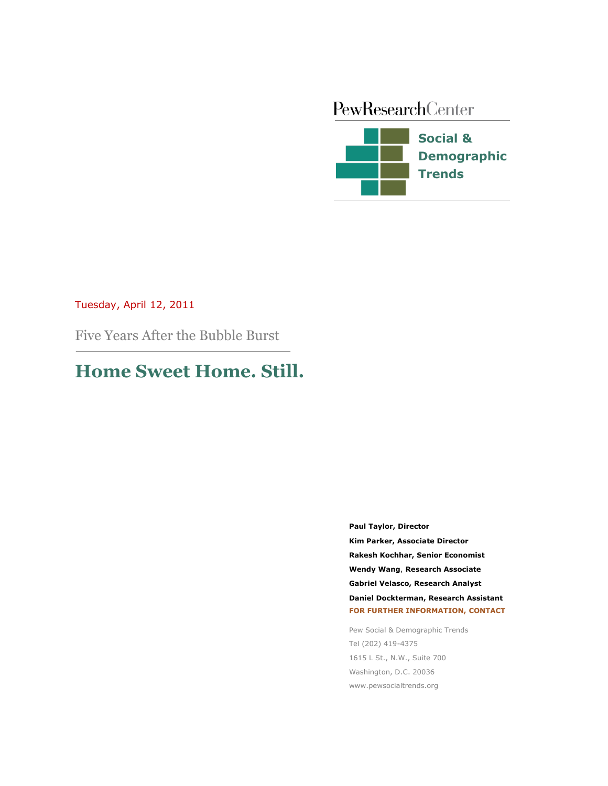# PewResearchCenter **Social & Demographic Trends**

# Tuesday, April 12, 2011

Five Years After the Bubble Burst

# **Home Sweet Home. Still.**

**Paul Taylor, Director Kim Parker, Associate Director Demographer Rakesh Kochhar, Senior Economist Wendy Wang**, **Research Associate Gabriel Velasco, Research Analyst Daniel Dockterman, Research Assistant FOR FURTHER INFORMATION, CONTACT**

Pew Social & Demographic Trends Tel (202) 419-4375 1615 L St., N.W., Suite 700 Washington, D.C. 20036 www.pewsocialtrends.org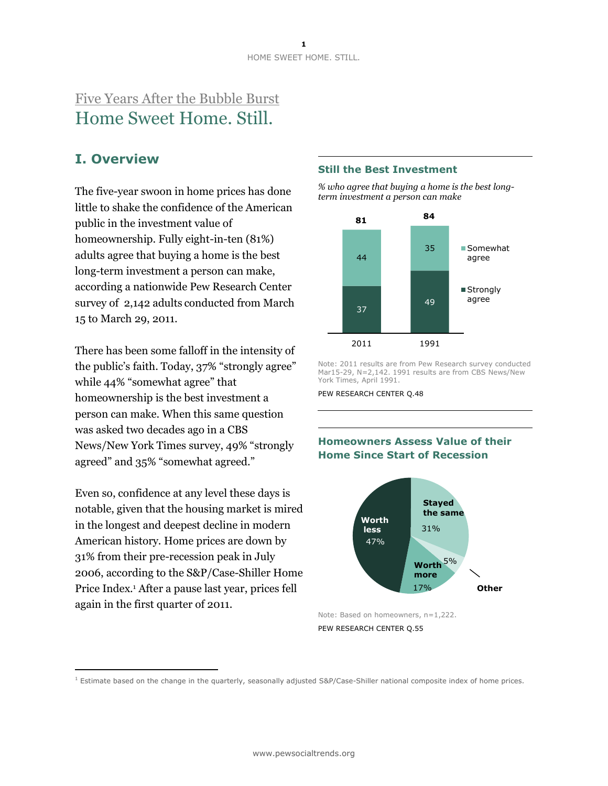# Five Years After the Bubble Burst Home Sweet Home. Still.

# **I. Overview**

The five-year swoon in home prices has done little to shake the confidence of the American public in the investment value of homeownership. Fully eight-in-ten (81%) adults agree that buying a home is the best long-term investment a person can make, according a nationwide Pew Research Center survey of 2,142 adults conducted from March 15 to March 29, 2011.

There has been some falloff in the intensity of the public's faith. Today, 37% "strongly agree" while 44% "somewhat agree" that homeownership is the best investment a person can make. When this same question was asked two decades ago in a CBS News/New York Times survey, 49% "strongly agreed" and 35% "somewhat agreed."

Even so, confidence at any level these days is notable, given that the housing market is mired in the longest and deepest decline in modern American history. Home prices are down by 31% from their pre-recession peak in July 2006, according to the S&P/Case-Shiller Home Price Index.<sup>1</sup> After a pause last year, prices fell again in the first quarter of 2011.

 $\overline{a}$ 

### **Still the Best Investment**

*% who agree that buying a home is the best longterm investment a person can make*



Note: 2011 results are from Pew Research survey conducted Mar15-29, N=2,142. 1991 results are from CBS News/New York Times, April 1991.

PEW RESEARCH CENTER Q.48

# **Homeowners Assess Value of their Home Since Start of Recession**



Note: Based on homeowners, n=1,222. PEW RESEARCH CENTER Q.55

 $1$  Estimate based on the change in the quarterly, seasonally adjusted S&P/Case-Shiller national composite index of home prices.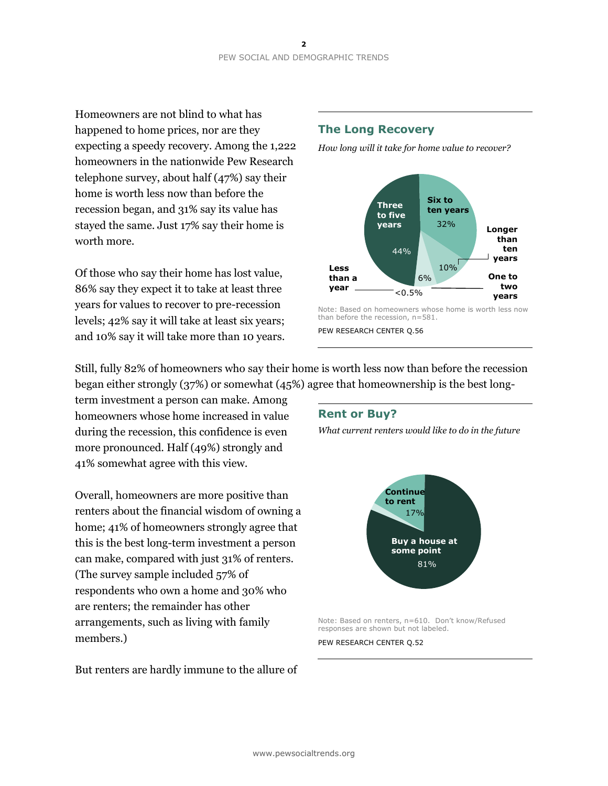Homeowners are not blind to what has happened to home prices, nor are they expecting a speedy recovery. Among the 1,222 homeowners in the nationwide Pew Research telephone survey, about half (47%) say their home is worth less now than before the recession began, and 31% say its value has stayed the same. Just 17% say their home is worth more.

Of those who say their home has lost value, 86% say they expect it to take at least three years for values to recover to pre-recession levels; 42% say it will take at least six years; and 10% say it will take more than 10 years.

# **The Long Recovery**

*How long will it take for home value to recover?*



PEW RESEARCH CENTER Q.56

Still, fully 82% of homeowners who say their home is worth less now than before the recession began either strongly (37%) or somewhat (45%) agree that homeownership is the best long-

term investment a person can make. Among homeowners whose home increased in value during the recession, this confidence is even more pronounced. Half (49%) strongly and 41% somewhat agree with this view.

Overall, homeowners are more positive than renters about the financial wisdom of owning a home; 41% of homeowners strongly agree that this is the best long-term investment a person can make, compared with just 31% of renters. (The survey sample included 57% of respondents who own a home and 30% who are renters; the remainder has other arrangements, such as living with family members.)

But renters are hardly immune to the allure of

### **Rent or Buy?**

*What current renters would like to do in the future*



Note: Based on renters, n=610. Don't know/Refused responses are shown but not labeled.

PEW RESEARCH CENTER Q.52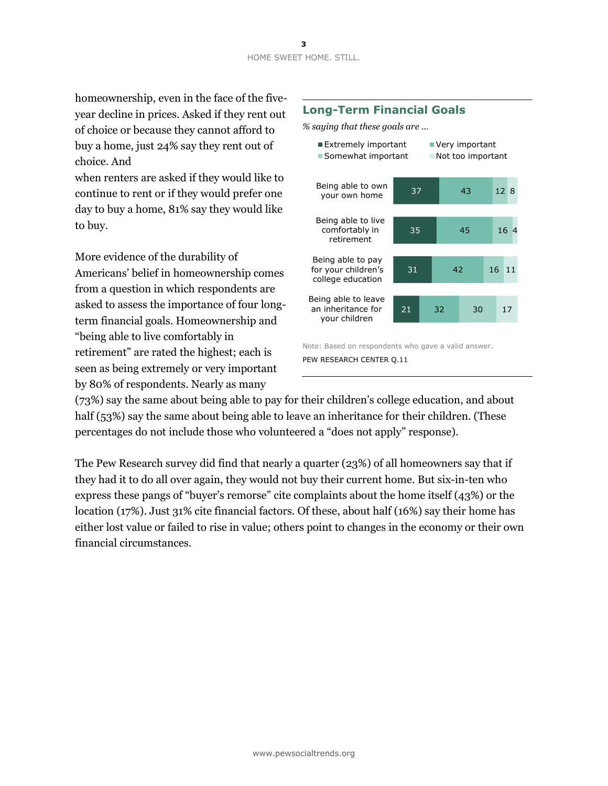homeownership, even in the face of the fiveyear decline in prices. Asked if they rent out of choice or because they cannot afford to buy a home, just 24% say they rent out of choice. And

when renters are asked if they would like to continue to rent or if they would prefer one day to buy a home, 81% say they would like to buy.

More evidence of the durability of Americans' belief in homeownership comes from a question in which respondents are asked to assess the importance of four longterm financial goals. Homeownership and "being able to live comfortably in retirement" are rated the highest; each is seen as being extremely or very important by 80% of respondents. Nearly as many

# **Long-Term Financial Goals**

*% saying that these goals are …*



(73%) say the same about being able to pay for their children's college education, and about half (53%) say the same about being able to leave an inheritance for their children. (These percentages do not include those who volunteered a "does not apply" response).

The Pew Research survey did find that nearly a quarter (23%) of all homeowners say that if they had it to do all over again, they would not buy their current home. But six-in-ten who express these pangs of "buyer's remorse" cite complaints about the home itself (43%) or the location (17%). Just 31% cite financial factors. Of these, about half (16%) say their home has either lost value or failed to rise in value; others point to changes in the economy or their own financial circumstances.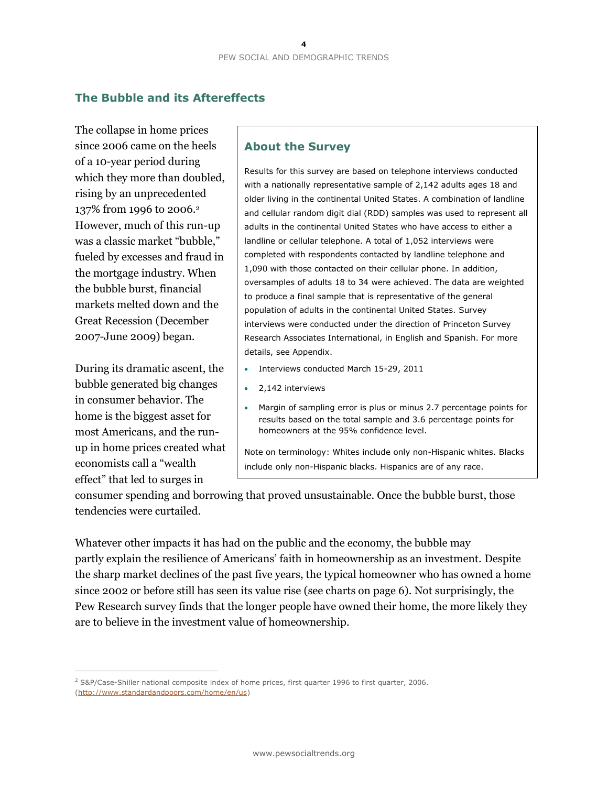# **The Bubble and its Aftereffects**

The collapse in home prices since 2006 came on the heels of a 10-year period during which they more than doubled, rising by an unprecedented 137% from 1996 to 2006.<sup>2</sup> However, much of this run-up was a classic market "bubble," fueled by excesses and fraud in the mortgage industry. When the bubble burst, financial markets melted down and the Great Recession (December 2007-June 2009) began.

During its dramatic ascent, the bubble generated big changes in consumer behavior. The home is the biggest asset for most Americans, and the runup in home prices created what economists call a "wealth effect" that led to surges in

 $\overline{a}$ 

# **About the Survey**

Results for this survey are based on telephone interviews conducted with a nationally representative sample of 2,142 adults ages 18 and older living in the continental United States. A combination of landline and cellular random digit dial (RDD) samples was used to represent all adults in the continental United States who have access to either a landline or cellular telephone. A total of 1,052 interviews were completed with respondents contacted by landline telephone and 1,090 with those contacted on their cellular phone. In addition, oversamples of adults 18 to 34 were achieved. The data are weighted to produce a final sample that is representative of the general population of adults in the continental United States. Survey interviews were conducted under the direction of Princeton Survey Research Associates International, in English and Spanish. For more details, see Appendix.

- Interviews conducted March 15-29, 2011
- 2,142 interviews
- Margin of sampling error is plus or minus 2.7 percentage points for results based on the total sample and 3.6 percentage points for homeowners at the 95% confidence level.

Note on terminology: Whites include only non-Hispanic whites. Blacks include only non-Hispanic blacks. Hispanics are of any race**.**

consumer spending and borrowing that proved unsustainable. Once the bubble burst, those tendencies were curtailed.

Whatever other impacts it has had on the public and the economy, the bubble may partly explain the resilience of Americans' faith in homeownership as an investment. Despite the sharp market declines of the past five years, the typical homeowner who has owned a home since 2002 or before still has seen its value rise (see charts on page 6). Not surprisingly, the Pew Research survey finds that the longer people have owned their home, the more likely they are to believe in the investment value of homeownership.

<sup>&</sup>lt;sup>2</sup> S&P/Case-Shiller national composite index of home prices, first quarter 1996 to first quarter, 2006. [\(http://www.standardandpoors.com/home/en/us\)](http://www.standardandpoors.com/home/en/us)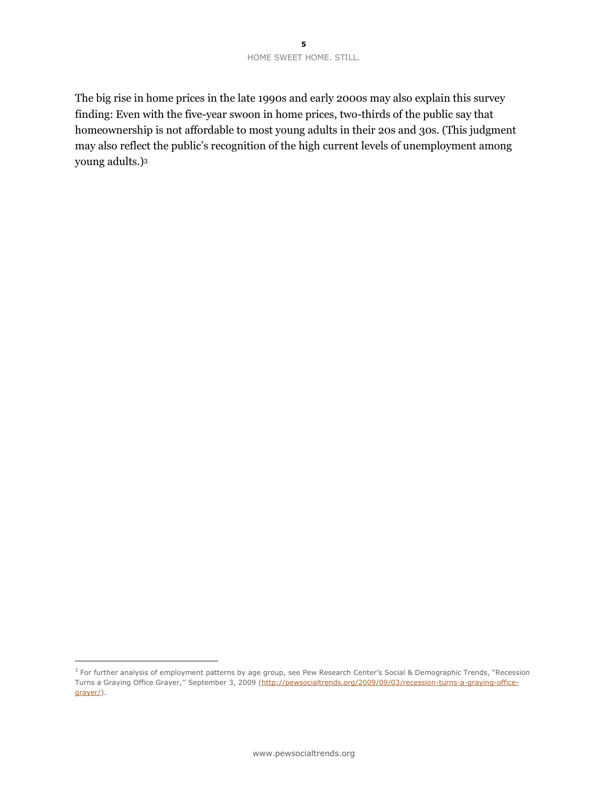The big rise in home prices in the late 1990s and early 2000s may also explain this survey finding: Even with the five-year swoon in home prices, two-thirds of the public say that homeownership is not affordable to most young adults in their 20s and 30s. (This judgment may also reflect the public's recognition of the high current levels of unemployment among young adults.)<sup>3</sup>

 $\overline{a}$ 

<sup>&</sup>lt;sup>3</sup> For further analysis of employment patterns by age group, see Pew Research Center's Social & Demographic Trends, "Recession Turns a Graying Office Grayer,'' September 3, 2009 ([http://pewsocialtrends.org/2009/09/03/recession-turns-a-graying-office](http://pewsocialtrends.org/2009/09/03/recession-turns-a-graying-office-grayer/)[grayer/\)](http://pewsocialtrends.org/2009/09/03/recession-turns-a-graying-office-grayer/).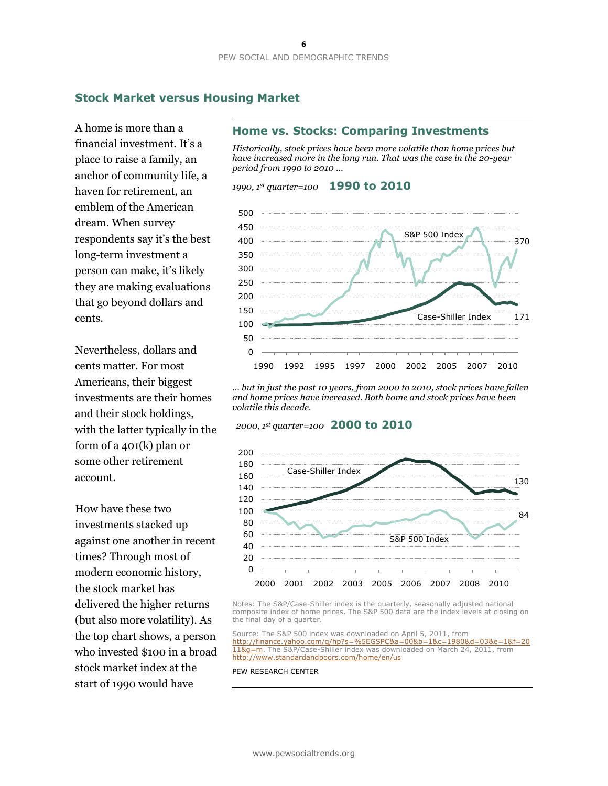### **Stock Market versus Housing Market**

A home is more than a financial investment. It's a place to raise a family, an anchor of community life, a haven for retirement, an emblem of the American dream. When survey respondents say it's the best long-term investment a person can make, it's likely they are making evaluations that go beyond dollars and cents.

Nevertheless, dollars and cents matter. For most Americans, their biggest investments are their homes and their stock holdings, with the latter typically in the form of a 401(k) plan or some other retirement account.

How have these two investments stacked up against one another in recent times? Through most of modern economic history, the stock market has delivered the higher returns (but also more volatility). As the top chart shows, a person who invested \$100 in a broad stock market index at the start of 1990 would have

### **Home vs. Stocks: Comparing Investments**

*Historically, stock prices have been more volatile than home prices but have increased more in the long run. That was the case in the 20-year period from 1990 to 2010 …*





*… but in just the past 10 years, from 2000 to 2010, stock prices have fallen and home prices have increased. Both home and stock prices have been volatile this decade.*

### *2000, 1st quarter=100* **2000 to 2010**



Notes: The S&P/Case-Shiller index is the quarterly, seasonally adjusted national composite index of home prices. The S&P 500 data are the index levels at closing on the final day of a quarter.

Source: The S&P 500 index was downloaded on April 5, 2011, from [http://finance.yahoo.com/q/hp?s=%5EGSPC&a=00&b=1&c=1980&d=03&e=1&f=20](http://finance.yahoo.com/q/hp?s=%5EGSPC&a=00&b=1&c=1980&d=03&e=1&f=2011&g=m) [11&g=m.](http://finance.yahoo.com/q/hp?s=%5EGSPC&a=00&b=1&c=1980&d=03&e=1&f=2011&g=m) The S&P/Case-Shiller index was downloaded on March 24, 2011, from <http://www.standardandpoors.com/home/en/us>

#### PEW RESEARCH CENTER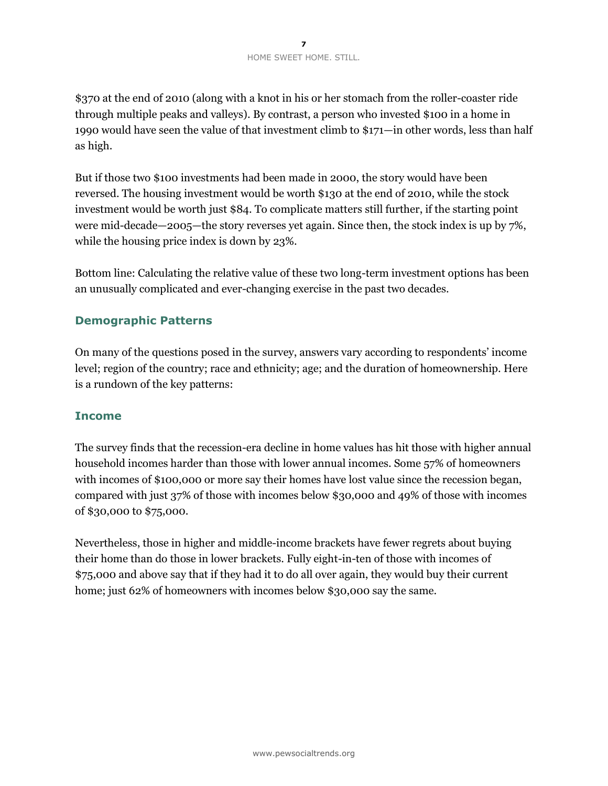\$370 at the end of 2010 (along with a knot in his or her stomach from the roller-coaster ride through multiple peaks and valleys). By contrast, a person who invested \$100 in a home in 1990 would have seen the value of that investment climb to \$171—in other words, less than half as high.

But if those two \$100 investments had been made in 2000, the story would have been reversed. The housing investment would be worth \$130 at the end of 2010, while the stock investment would be worth just \$84. To complicate matters still further, if the starting point were mid-decade—2005—the story reverses yet again. Since then, the stock index is up by 7%, while the housing price index is down by 23%.

Bottom line: Calculating the relative value of these two long-term investment options has been an unusually complicated and ever-changing exercise in the past two decades.

# **Demographic Patterns**

On many of the questions posed in the survey, answers vary according to respondents' income level; region of the country; race and ethnicity; age; and the duration of homeownership. Here is a rundown of the key patterns:

# **Income**

The survey finds that the recession-era decline in home values has hit those with higher annual household incomes harder than those with lower annual incomes. Some 57% of homeowners with incomes of \$100,000 or more say their homes have lost value since the recession began, compared with just 37% of those with incomes below \$30,000 and 49% of those with incomes of \$30,000 to \$75,000.

Nevertheless, those in higher and middle-income brackets have fewer regrets about buying their home than do those in lower brackets. Fully eight-in-ten of those with incomes of \$75,000 and above say that if they had it to do all over again, they would buy their current home; just 62% of homeowners with incomes below \$30,000 say the same.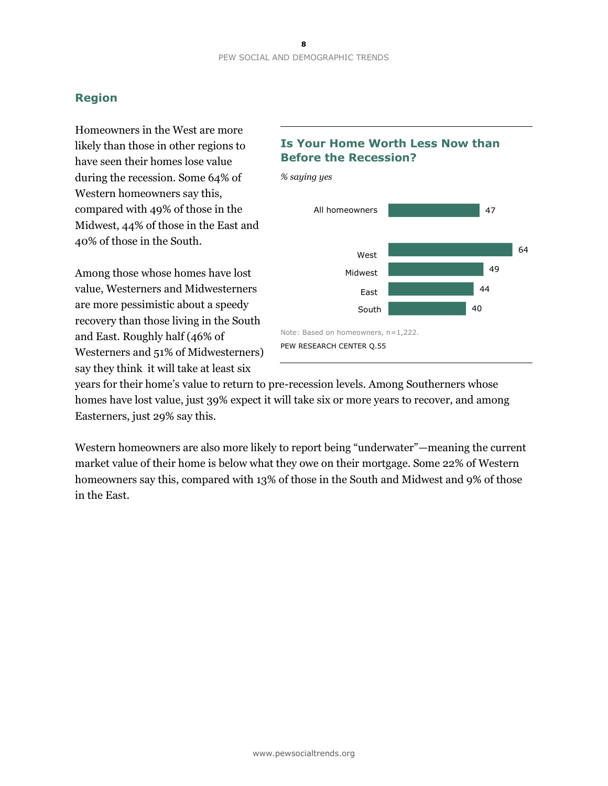# **Region**

Homeowners in the West are more likely than those in other regions to have seen their homes lose value during the recession. Some 64% of Western homeowners say this, compared with 49% of those in the Midwest, 44% of those in the East and 40% of those in the South.

Among those whose homes have lost value, Westerners and Midwesterners are more pessimistic about a speedy recovery than those living in the South and East. Roughly half (46% of Westerners and 51% of Midwesterners) say they think it will take at least six

# **Is Your Home Worth Less Now than Before the Recession?**



years for their home's value to return to pre-recession levels. Among Southerners whose homes have lost value, just 39% expect it will take six or more years to recover, and among Easterners, just 29% say this.

Western homeowners are also more likely to report being "underwater"—meaning the current market value of their home is below what they owe on their mortgage. Some 22% of Western homeowners say this, compared with 13% of those in the South and Midwest and 9% of those in the East.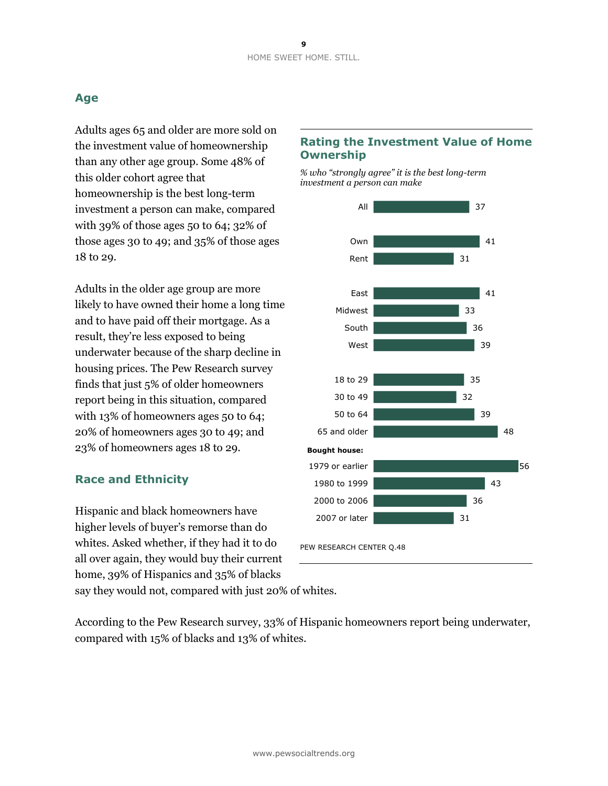# **Age**

Adults ages 65 and older are more sold on the investment value of homeownership than any other age group. Some 48% of this older cohort agree that homeownership is the best long-term investment a person can make, compared with 39% of those ages 50 to 64; 32% of those ages 30 to 49; and 35% of those ages 18 to 29.

Adults in the older age group are more likely to have owned their home a long time and to have paid off their mortgage. As a result, they're less exposed to being underwater because of the sharp decline in housing prices. The Pew Research survey finds that just 5% of older homeowners report being in this situation, compared with 13% of homeowners ages 50 to 64; 20% of homeowners ages 30 to 49; and 23% of homeowners ages 18 to 29.

# **Race and Ethnicity**

Hispanic and black homeowners have higher levels of buyer's remorse than do whites. Asked whether, if they had it to do all over again, they would buy their current home, 39% of Hispanics and 35% of blacks say they would not, compared with just 20% of whites.

# **Rating the Investment Value of Home Ownership**

*% who "strongly agree" it is the best long-term investment a person can make*



According to the Pew Research survey, 33% of Hispanic homeowners report being underwater, compared with 15% of blacks and 13% of whites.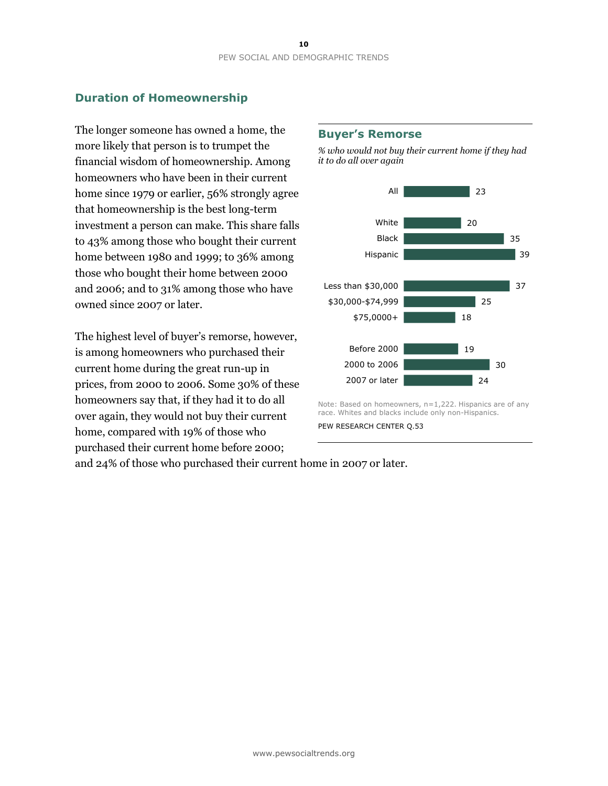# **Duration of Homeownership**

The longer someone has owned a home, the more likely that person is to trumpet the financial wisdom of homeownership. Among homeowners who have been in their current home since 1979 or earlier, 56% strongly agree that homeownership is the best long-term investment a person can make. This share falls to 43% among those who bought their current home between 1980 and 1999; to 36% among those who bought their home between 2000 and 2006; and to 31% among those who have owned since 2007 or later.

The highest level of buyer's remorse, however, is among homeowners who purchased their current home during the great run-up in prices, from 2000 to 2006. Some 30% of these homeowners say that, if they had it to do all over again, they would not buy their current home, compared with 19% of those who purchased their current home before 2000;

### **Buyer's Remorse**

*% who would not buy their current home if they had it to do all over again*



Note: Based on homeowners, n=1,222. Hispanics are of any race. Whites and blacks include only non-Hispanics.

and 24% of those who purchased their current home in 2007 or later.

PEW RESEARCH CENTER Q.53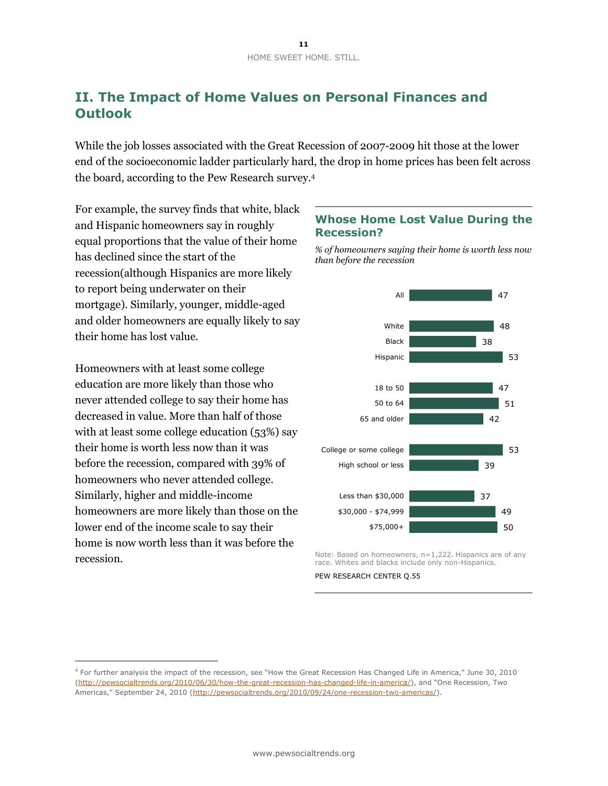# **II. The Impact of Home Values on Personal Finances and Outlook**

While the job losses associated with the Great Recession of 2007-2009 hit those at the lower end of the socioeconomic ladder particularly hard, the drop in home prices has been felt across the board, according to the Pew Research survey.<sup>4</sup>

For example, the survey finds that white, black and Hispanic homeowners say in roughly equal proportions that the value of their home has declined since the start of the recession(although Hispanics are more likely to report being underwater on their mortgage). Similarly, younger, middle-aged and older homeowners are equally likely to say their home has lost value.

Homeowners with at least some college education are more likely than those who never attended college to say their home has decreased in value. More than half of those with at least some college education (53%) say their home is worth less now than it was before the recession, compared with 39% of homeowners who never attended college. Similarly, higher and middle-income homeowners are more likely than those on the lower end of the income scale to say their home is now worth less than it was before the recession.

 $\overline{a}$ 

# **Whose Home Lost Value During the Recession?**

*% of homeowners saying their home is worth less now than before the recession*



Note: Based on homeowners, n=1,222. Hispanics are of any race. Whites and blacks include only non-Hispanics.

PEW RESEARCH CENTER Q.55

<sup>4</sup> For further analysis the impact of the recession, see "How the Great Recession Has Changed Life in America," June 30, 2010 [\(http://pewsocialtrends.org/2010/06/30/how-the-great-recession-has-changed-life-in-america/\)](http://pewsocialtrends.org/2010/06/30/how-the-great-recession-has-changed-life-in-america/), and "One Recession, Two Americas," September 24, 2010 ([http://pewsocialtrends.org/2010/09/24/one-recession-two-americas/\)](http://pewsocialtrends.org/2010/09/24/one-recession-two-americas/).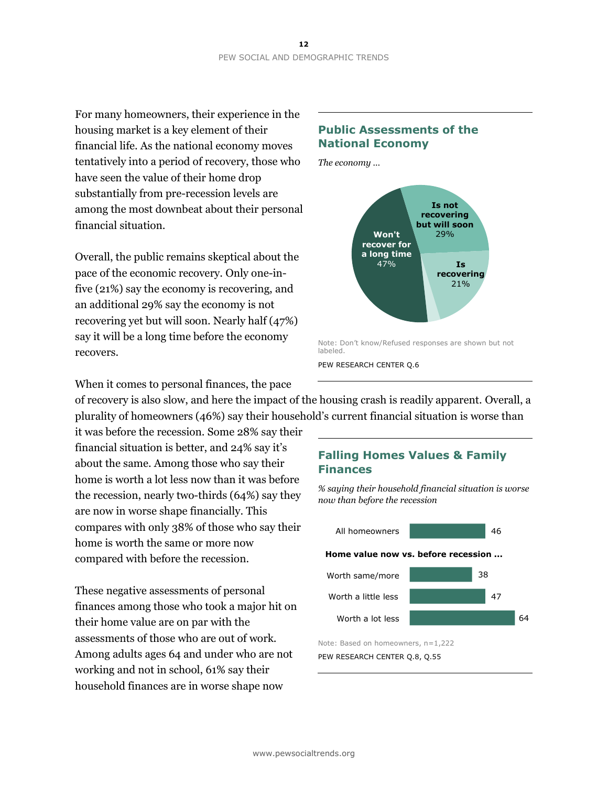For many homeowners, their experience in the housing market is a key element of their financial life. As the national economy moves tentatively into a period of recovery, those who have seen the value of their home drop substantially from pre-recession levels are among the most downbeat about their personal financial situation.

Overall, the public remains skeptical about the pace of the economic recovery. Only one-infive (21%) say the economy is recovering, and an additional 29% say the economy is not recovering yet but will soon. Nearly half (47%) say it will be a long time before the economy recovers.

# **Public Assessments of the National Economy**

*The economy …*



When it comes to personal finances, the pace

of recovery is also slow, and here the impact of the housing crash is readily apparent. Overall, a plurality of homeowners (46%) say their household's current financial situation is worse than

it was before the recession. Some 28% say their financial situation is better, and 24% say it's about the same. Among those who say their home is worth a lot less now than it was before the recession, nearly two-thirds (64%) say they are now in worse shape financially. This compares with only 38% of those who say their home is worth the same or more now compared with before the recession.

These negative assessments of personal finances among those who took a major hit on their home value are on par with the assessments of those who are out of work. Among adults ages 64 and under who are not working and not in school, 61% say their household finances are in worse shape now

# **Falling Homes Values & Family Finances**

*% saying their household financial situation is worse now than before the recession*



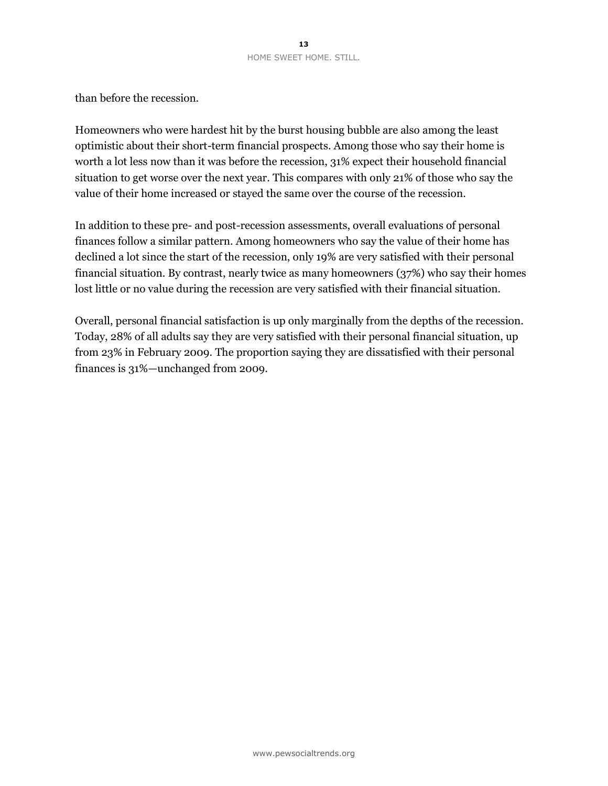than before the recession.

Homeowners who were hardest hit by the burst housing bubble are also among the least optimistic about their short-term financial prospects. Among those who say their home is worth a lot less now than it was before the recession, 31% expect their household financial situation to get worse over the next year. This compares with only 21% of those who say the value of their home increased or stayed the same over the course of the recession.

In addition to these pre- and post-recession assessments, overall evaluations of personal finances follow a similar pattern. Among homeowners who say the value of their home has declined a lot since the start of the recession, only 19% are very satisfied with their personal financial situation. By contrast, nearly twice as many homeowners (37%) who say their homes lost little or no value during the recession are very satisfied with their financial situation.

Overall, personal financial satisfaction is up only marginally from the depths of the recession. Today, 28% of all adults say they are very satisfied with their personal financial situation, up from 23% in February 2009. The proportion saying they are dissatisfied with their personal finances is 31%—unchanged from 2009.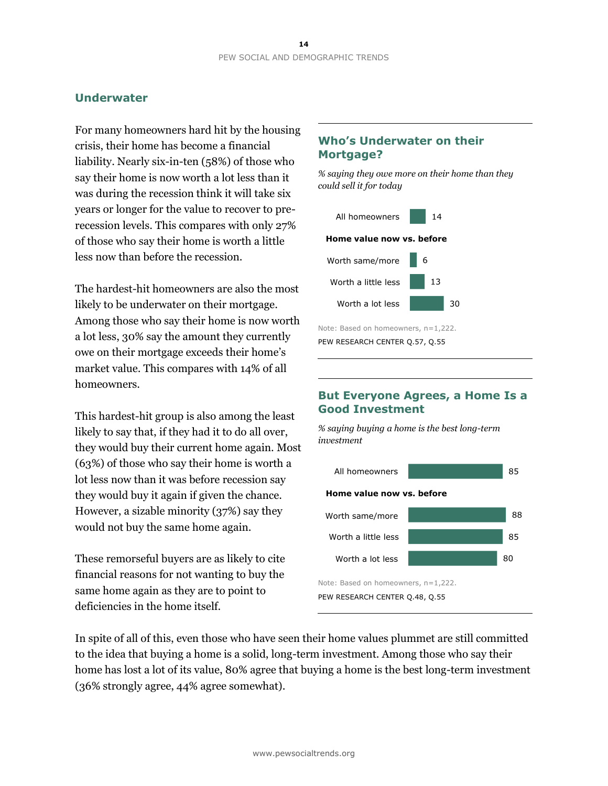# **Underwater**

For many homeowners hard hit by the housing crisis, their home has become a financial liability. Nearly six-in-ten (58%) of those who say their home is now worth a lot less than it was during the recession think it will take six years or longer for the value to recover to prerecession levels. This compares with only 27% of those who say their home is worth a little less now than before the recession.

The hardest-hit homeowners are also the most likely to be underwater on their mortgage. Among those who say their home is now worth a lot less, 30% say the amount they currently owe on their mortgage exceeds their home's market value. This compares with 14% of all homeowners.

This hardest-hit group is also among the least likely to say that, if they had it to do all over, they would buy their current home again. Most (63%) of those who say their home is worth a lot less now than it was before recession say they would buy it again if given the chance. However, a sizable minority (37%) say they would not buy the same home again.

These remorseful buyers are as likely to cite financial reasons for not wanting to buy the same home again as they are to point to deficiencies in the home itself.

# **Who's Underwater on their Mortgage?**

*% saying they owe more on their home than they could sell it for today*



Note: Based on homeowners, n=1,222. PEW RESEARCH CENTER Q.57, Q.55

# **But Everyone Agrees, a Home Is a Good Investment**

*% saying buying a home is the best long-term investment* 



In spite of all of this, even those who have seen their home values plummet are still committed to the idea that buying a home is a solid, long-term investment. Among those who say their home has lost a lot of its value, 80% agree that buying a home is the best long-term investment (36% strongly agree, 44% agree somewhat).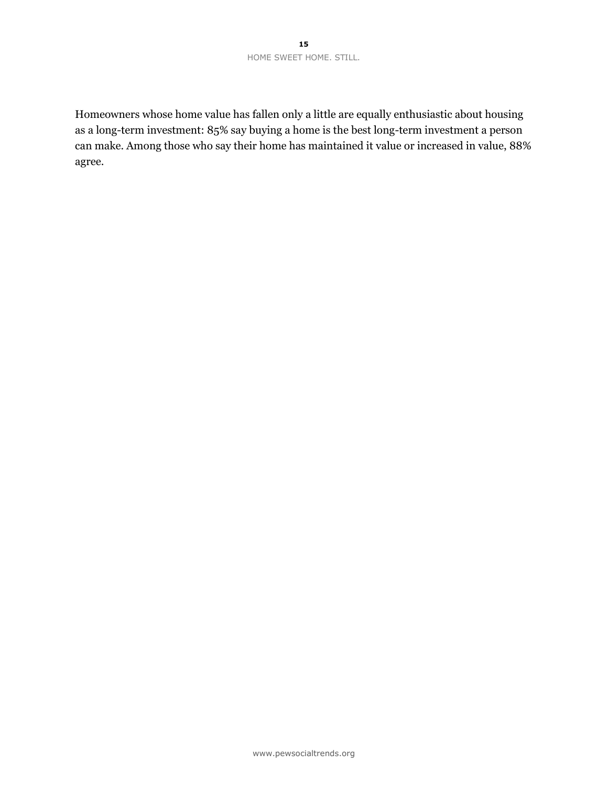Homeowners whose home value has fallen only a little are equally enthusiastic about housing as a long-term investment: 85% say buying a home is the best long-term investment a person can make. Among those who say their home has maintained it value or increased in value, 88% agree.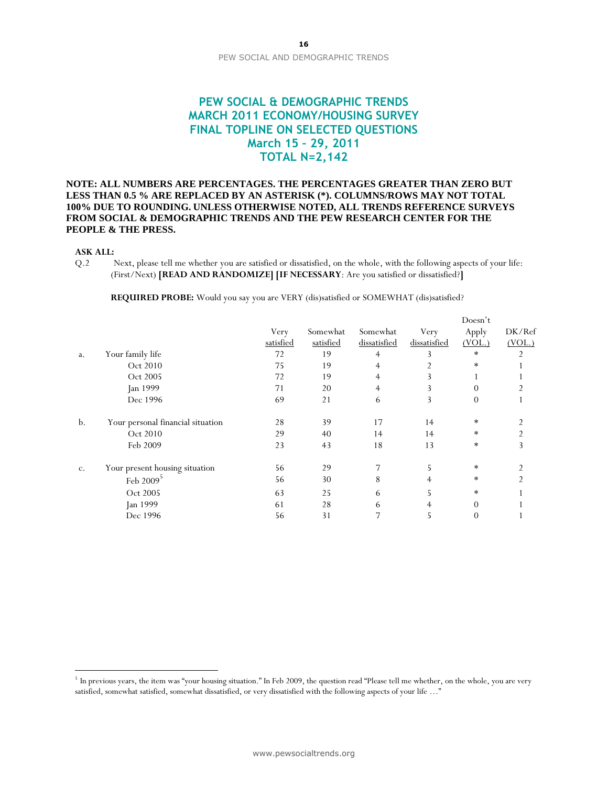# **PEW SOCIAL & DEMOGRAPHIC TRENDS MARCH 2011 ECONOMY/HOUSING SURVEY FINAL TOPLINE ON SELECTED QUESTIONS March 15 – 29, 2011 TOTAL N=2,142**

### **NOTE: ALL NUMBERS ARE PERCENTAGES. THE PERCENTAGES GREATER THAN ZERO BUT LESS THAN 0.5 % ARE REPLACED BY AN ASTERISK (\*). COLUMNS/ROWS MAY NOT TOTAL 100% DUE TO ROUNDING. UNLESS OTHERWISE NOTED, ALL TRENDS REFERENCE SURVEYS FROM SOCIAL & DEMOGRAPHIC TRENDS AND THE PEW RESEARCH CENTER FOR THE PEOPLE & THE PRESS.**

### **ASK ALL:**

 $\overline{a}$ 

Q.2 Next, please tell me whether you are satisfied or dissatisfied, on the whole, with the following aspects of your life: (First/Next) **[READ AND RANDOMIZE] [IF NECESSARY**: Are you satisfied or dissatisfied?**]**

**REQUIRED PROBE:** Would you say you are VERY (dis)satisfied or SOMEWHAT (dis)satisfied?

|    |                                   |           |           |              |              | Doesn't  |                |
|----|-----------------------------------|-----------|-----------|--------------|--------------|----------|----------------|
|    |                                   | Very      | Somewhat  | Somewhat     | Very         | Apply    | DK/Ref         |
|    |                                   | satisfied | satisfied | dissatisfied | dissatisfied | (VOL.)   | (VOL.)         |
| a. | Your family life                  | 72        | 19        | 4            |              | $\ast$   | $\overline{2}$ |
|    | Oct 2010                          | 75        | 19        | 4            |              | $\ast$   |                |
|    | Oct 2005                          | 72        | 19        | 4            |              |          |                |
|    | Jan 1999                          | 71        | 20        | 4            |              | $\Omega$ |                |
|    | Dec 1996                          | 69        | 21        | 6            | 3            | $\theta$ |                |
| b. | Your personal financial situation | 28        | 39        | 17           | 14           | $\ast$   |                |
|    | Oct 2010                          | 29        | 40        | 14           | 14           | $\ast$   | $\overline{2}$ |
|    | Feb 2009                          | 23        | 43        | 18           | 13           | $\ast$   | 3              |
| C. | Your present housing situation    | 56        | 29        |              | 5            | $\ast$   | 2              |
|    | Feb $20095$                       | 56        | 30        | 8            | 4            | $\ast$   | 2              |
|    | Oct 2005                          | 63        | 25        | 6            | 5            | $\ast$   |                |
|    | Jan 1999                          | 61        | 28        | 6            | 4            | $\theta$ |                |
|    | Dec 1996                          | 56        | 31        |              | 5            | $\theta$ |                |
|    |                                   |           |           |              |              |          |                |

 $^5$  In previous years, the item was "your housing situation." In Feb 2009, the question read "Please tell me whether, on the whole, you are very satisfied, somewhat satisfied, somewhat dissatisfied, or very dissatisfied with the following aspects of your life …"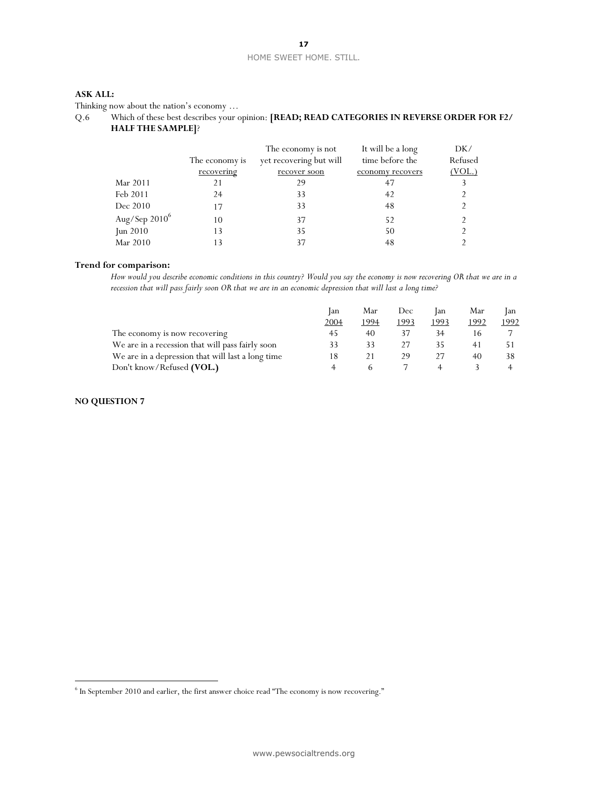### HOME SWEET HOME. STILL.

### **17**

### **ASK ALL:**

Thinking now about the nation's economy …

| Q.6 |                          | Which of these best describes your opinion: [READ; READ CATEGORIES IN REVERSE ORDER FOR F2/ |
|-----|--------------------------|---------------------------------------------------------------------------------------------|
|     | <b>HALF THE SAMPLE</b> ? |                                                                                             |

|                  |                | The economy is not      | It will be a long | DK/     |
|------------------|----------------|-------------------------|-------------------|---------|
|                  | The economy is | yet recovering but will | time before the   | Refused |
|                  | recovering     | recover soon            | economy recovers  | (VOL.)  |
| Mar 2011         |                | 29                      | 47                |         |
| Feb 2011         | 24             | 33                      | 42                |         |
| Dec 2010         | 17             | 33                      | 48                |         |
| Aug/Sep $2010^6$ | 10             | 37                      | 52                |         |
| Jun $2010$       | 13             | 35                      | 50                |         |
| Mar 2010         |                | 37                      | 48                |         |

### **Trend for comparison:**

*How would you describe economic conditions in this country? Would you say the economy is now recovering OR that we are in a recession that will pass fairly soon OR that we are in an economic depression that will last a long time?*

|                                                   | lan  | Mar  | Dec  | lan  | Mar  | lan  |
|---------------------------------------------------|------|------|------|------|------|------|
|                                                   | 2004 | 1994 | 1993 | 1993 | 1992 | 1992 |
| The economy is now recovering                     | 45   | 40   |      |      |      |      |
| We are in a recession that will pass fairly soon  |      |      |      |      |      |      |
| We are in a depression that will last a long time |      |      | 29   |      |      |      |
| Don't know/Refused (VOL.)                         |      |      |      |      |      |      |

### **NO QUESTION 7**

 $\overline{a}$ 

<sup>&</sup>lt;sup>6</sup> In September 2010 and earlier, the first answer choice read "The economy is now recovering."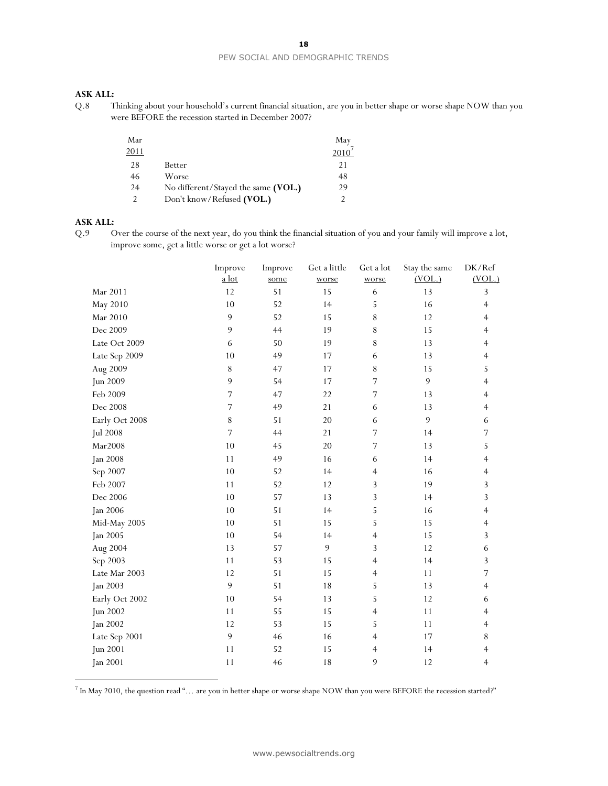#### PEW SOCIAL AND DEMOGRAPHIC TRENDS

### **ASK ALL:**

Q.8 Thinking about your household's current financial situation, are you in better shape or worse shape NOW than you were BEFORE the recession started in December 2007?

| Mar  |                                     | May  |
|------|-------------------------------------|------|
| 2011 |                                     | 2010 |
| 28   | Better                              | 21   |
| 46   | Worse                               | 48   |
| 24   | No different/Stayed the same (VOL.) | 29   |
|      | Don't know/Refused (VOL.)           |      |

### **ASK ALL:**

 $\overline{a}$ 

Q.9 Over the course of the next year, do you think the financial situation of you and your family will improve a lot, improve some, get a little worse or get a lot worse?

|                 | Improve<br>a lot | Improve<br>some | Get a little<br>worse | Get a lot<br>worse | Stay the same<br>(VOL.) | DK/Ref<br>(VOL.) |
|-----------------|------------------|-----------------|-----------------------|--------------------|-------------------------|------------------|
| Mar 2011        | $12$             | 51              | 15                    | $\sqrt{6}$         | 13                      | 3                |
| May 2010        | 10               | 52              | 14                    | 5                  | 16                      | $\overline{4}$   |
| Mar 2010        | 9                | 52              | 15                    | 8                  | 12                      | 4                |
| Dec 2009        | 9                | 44              | 19                    | 8                  | 15                      | $\overline{4}$   |
| Late Oct 2009   | 6                | 50              | 19                    | $\,$ $\,$          | 13                      | 4                |
| Late Sep 2009   | 10               | 49              | 17                    | 6                  | 13                      | 4                |
| Aug 2009        | $\,8\,$          | 47              | 17                    | 8                  | 15                      | 5                |
| Jun 2009        | 9                | 54              | 17                    | $\overline{7}$     | 9                       | 4                |
| Feb 2009        | 7                | 47              | 22                    | $\sqrt{ }$         | 13                      | 4                |
| Dec 2008        | $\overline{7}$   | 49              | 21                    | 6                  | 13                      | $\overline{4}$   |
| Early Oct 2008  | $8\,$            | 51              | 20                    | $\epsilon$         | 9                       | 6                |
| <b>Jul 2008</b> | 7                | 44              | 21                    | 7                  | 14                      | $\sqrt{ }$       |
| Mar2008         | 10               | 45              | 20                    | 7                  | 13                      | 5                |
| Jan 2008        | 11               | 49              | 16                    | 6                  | 14                      | 4                |
| Sep 2007        | 10               | 52              | 14                    | $\overline{4}$     | 16                      | 4                |
| Feb 2007        | 11               | 52              | 12                    | 3                  | 19                      | 3                |
| Dec 2006        | 10               | 57              | 13                    | 3                  | 14                      | 3                |
| <b>Jan 2006</b> | 10               | 51              | 14                    | 5                  | 16                      | 4                |
| Mid-May 2005    | 10               | 51              | 15                    | 5                  | 15                      | $\overline{4}$   |
| Jan 2005        | 10               | 54              | 14                    | $\overline{4}$     | 15                      | 3                |
| Aug 2004        | 13               | 57              | 9                     | 3                  | 12                      | 6                |
| Sep 2003        | 11               | 53              | 15                    | 4                  | 14                      | 3                |
| Late Mar 2003   | 12               | 51              | 15                    | $\overline{4}$     | 11                      | 7                |
| <b>Jan 2003</b> | 9                | 51              | 18                    | 5                  | 13                      | $\overline{4}$   |
| Early Oct 2002  | 10               | 54              | 13                    | 5                  | 12                      | 6                |
| Jun 2002        | 11               | 55              | 15                    | $\overline{4}$     | 11                      | 4                |
| <b>Jan 2002</b> | 12               | 53              | 15                    | 5                  | 11                      | $\overline{4}$   |
| Late Sep 2001   | 9                | 46              | 16                    | $\overline{4}$     | 17                      | 8                |
| Jun 2001        | 11               | 52              | 15                    | $\overline{4}$     | 14                      | 4                |
| <b>Jan 2001</b> | 11               | 46              | 18                    | 9                  | 12                      | $\overline{4}$   |
|                 |                  |                 |                       |                    |                         |                  |

 $^7$  In May 2010, the question read "… are you in better shape or worse shape NOW than you were BEFORE the recession started?"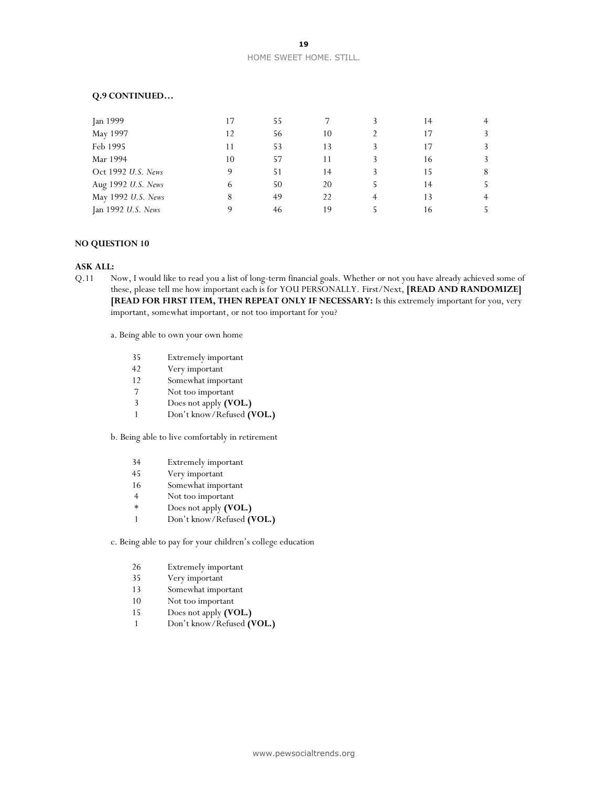#### **Q.9 CONTINUED…**

| Jan 1999           | 17 | 55 |    | 14 | $\overline{4}$ |
|--------------------|----|----|----|----|----------------|
| May 1997           | 12 | 56 | 10 | 17 |                |
| Feb 1995           | 11 | 53 | 13 | 17 |                |
| Mar 1994           | 10 | 57 | 11 | 16 |                |
| Oct 1992 U.S. News |    | 51 | 14 | 15 | 8              |
| Aug 1992 U.S. News |    | 50 | 20 | 14 |                |
| May 1992 U.S. News | 8  | 49 | 22 | 13 | 4              |
| Jan 1992 U.S. News |    | 46 | 19 | 16 |                |

### **NO QUESTION 10**

#### **ASK ALL:**

Q.11 Now, I would like to read you a list of long-term financial goals. Whether or not you have already achieved some of these, please tell me how important each is for YOU PERSONALLY. First/Next, **[READ AND RANDOMIZE] [READ FOR FIRST ITEM, THEN REPEAT ONLY IF NECESSARY:** Is this extremely important for you, very important, somewhat important, or not too important for you?

a. Being able to own your own home

- 35 Extremely important
- 42 Very important
- 12 Somewhat important
- 7 Not too important
- 3 Does not apply **(VOL.)**
- 1 Don't know/Refused **(VOL.)**

b. Being able to live comfortably in retirement

- 34 Extremely important
- 45 Very important
- 16 Somewhat important
- 4 Not too important
- \* Does not apply **(VOL.)**
- 1 Don't know/Refused **(VOL.)**

c. Being able to pay for your children's college education

- 26 Extremely important
- 35 Very important
- 13 Somewhat important
- 10 Not too important
- 15 Does not apply **(VOL.)**
- 1 Don't know/Refused **(VOL.)**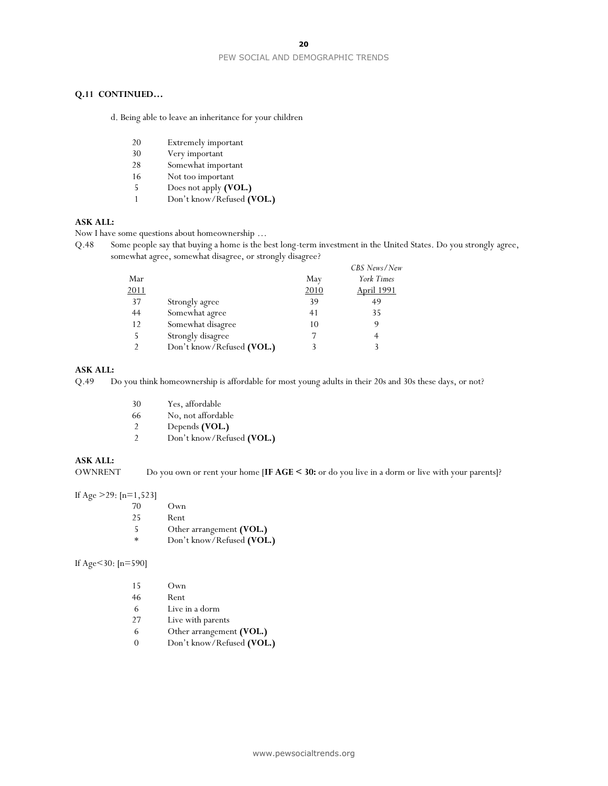#### PEW SOCIAL AND DEMOGRAPHIC TRENDS

#### **Q.11 CONTINUED…**

d. Being able to leave an inheritance for your children

- 20 Extremely important<br>30 Very important
- Very important
- 28 Somewhat important
- 16 Not too important
- 5 Does not apply **(VOL.)**
- 1 Don't know/Refused **(VOL.)**

### **ASK ALL:**

Now I have some questions about homeownership …

Q.48 Some people say that buying a home is the best long-term investment in the United States. Do you strongly agree, somewhat agree, somewhat disagree, or strongly disagree?

|      |                           |      | CBS News/New      |
|------|---------------------------|------|-------------------|
| Mar  |                           | May  | York Times        |
| 2011 |                           | 2010 | <b>April 1991</b> |
| 37   | Strongly agree            | 39   | 49                |
| 44   | Somewhat agree            | 41   | 35                |
| 12   | Somewhat disagree         | 10   | 9                 |
| 5    | Strongly disagree         |      |                   |
|      | Don't know/Refused (VOL.) |      |                   |

### **ASK ALL:**

Q.49 Do you think homeownership is affordable for most young adults in their 20s and 30s these days, or not?

- 30 Yes, affordable
- 66 No, not affordable
- 2 Depends **(VOL.)**
- 2 Don't know/Refused **(VOL.)**

#### **ASK ALL:**

OWNRENT Do you own or rent your home [**IF AGE < 30:** or do you live in a dorm or live with your parents]?

If Age >29: [n=1,523]

- 70 Own
- 25 Rent<br>5 Othe
- 5 Other arrangement **(VOL.)**<br>\* Don't know/Refused *(VOL***)**
- Don't know/Refused (VOL.)

If Age<30: [n=590]

| 15 | Own                       |
|----|---------------------------|
| 46 | Rent                      |
| 6  | Live in a dorm            |
| 27 | Live with parents         |
| 6  | Other arrangement (VOL.)  |
|    | Don't know/Refused (VOL.) |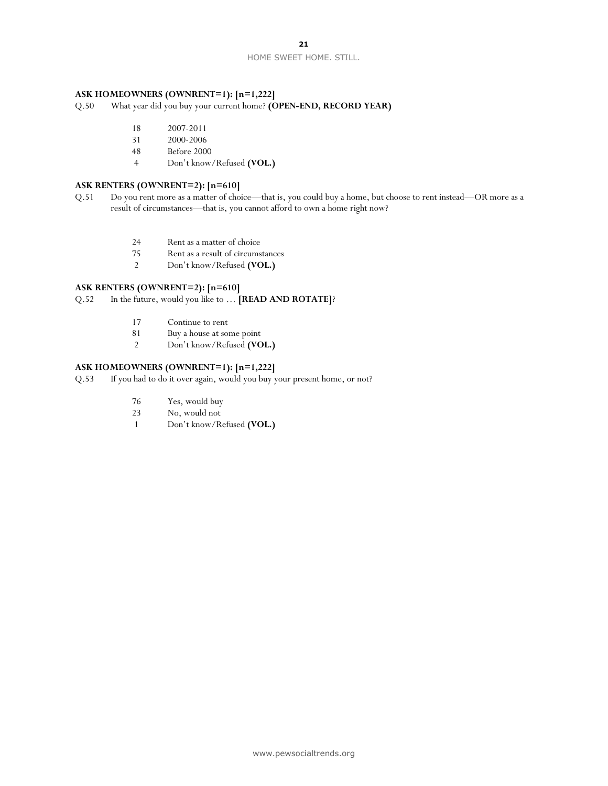### **21**

#### HOME SWEET HOME. STILL.

### **ASK HOMEOWNERS (OWNRENT=1): [n=1,222]**

Q.50 What year did you buy your current home? **(OPEN-END, RECORD YEAR)** 

- 18 2007-2011
- 31 2000-2006
- 48 Before 2000
- 4 Don't know/Refused **(VOL.)**

### **ASK RENTERS (OWNRENT=2): [n=610]**

- Q.51 Do you rent more as a matter of choice—that is, you could buy a home, but choose to rent instead—OR more as a result of circumstances—that is, you cannot afford to own a home right now?
	- 24 Rent as a matter of choice
	- 75 Rent as a result of circumstances
	- 2 Don't know/Refused **(VOL.)**

#### **ASK RENTERS (OWNRENT=2): [n=610]**

Q.52 In the future, would you like to … **[READ AND ROTATE]**?

- 17 Continue to rent<br>81 Buy a house at so
- 81 Buy a house at some point<br>2 Don't know/Refused (VC
- 2 Don't know/Refused **(VOL.)**

### **ASK HOMEOWNERS (OWNRENT=1): [n=1,222]**

Q.53 If you had to do it over again, would you buy your present home, or not?

- 76 Yes, would buy
- 23 No, would not
- 1 Don't know/Refused **(VOL.)**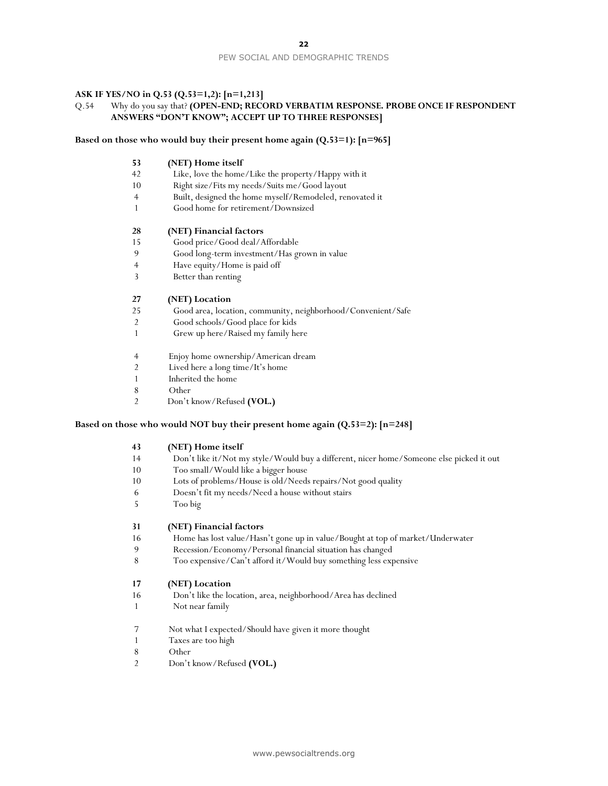#### PEW SOCIAL AND DEMOGRAPHIC TRENDS

#### **ASK IF YES/NO in Q.53 (Q.53=1,2): [n=1,213]**

### Q.54 Why do you say that? **(OPEN-END; RECORD VERBATIM RESPONSE. PROBE ONCE IF RESPONDENT ANSWERS "DON'T KNOW"; ACCEPT UP TO THREE RESPONSES]**

#### **Based on those who would buy their present home again (Q.53=1): [n=965]**

#### **(NET) Home itself**

- Like, love the home/Like the property/Happy with it
- Right size/Fits my needs/Suits me/Good layout
- Built, designed the home myself/Remodeled, renovated it
- Good home for retirement/Downsized

#### **(NET) Financial factors**

- Good price/Good deal/Affordable
- Good long-term investment/Has grown in value
- Have equity/Home is paid off
- Better than renting

#### **(NET) Location**

- Good area, location, community, neighborhood/Convenient/Safe
- Good schools/Good place for kids
- Grew up here/Raised my family here
- Enjoy home ownership/American dream
- Lived here a long time/It's home
- Inherited the home
- Other
- Don't know/Refused **(VOL.)**

#### **Based on those who would NOT buy their present home again (Q.53=2): [n=248]**

#### **(NET) Home itself**

- Don't like it/Not my style/Would buy a different, nicer home/Someone else picked it out
- Too small/Would like a bigger house
- Lots of problems/House is old/Needs repairs/Not good quality
- Doesn't fit my needs/Need a house without stairs
- Too big

#### **(NET) Financial factors**

- Home has lost value/Hasn't gone up in value/Bought at top of market/Underwater
- Recession/Economy/Personal financial situation has changed
- Too expensive/Can't afford it/Would buy something less expensive

#### **(NET) Location**

- Don't like the location, area, neighborhood/Area has declined
- Not near family
- Not what I expected/Should have given it more thought
- Taxes are too high
- Other
- Don't know/Refused **(VOL.)**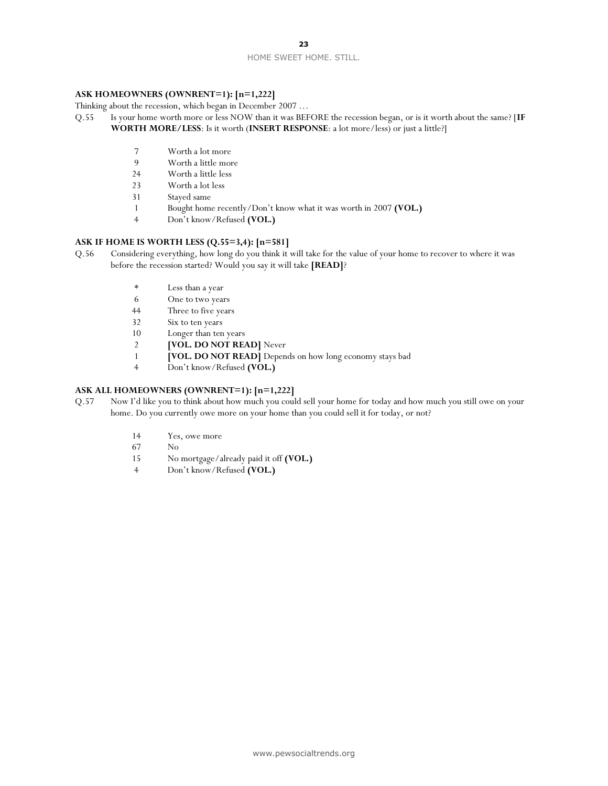### **23**

#### HOME SWEET HOME. STILL.

#### **ASK HOMEOWNERS (OWNRENT=1): [n=1,222]**

Thinking about the recession, which began in December 2007 …

- Q.55 Is your home worth more or less NOW than it was BEFORE the recession began, or is it worth about the same? [**IF WORTH MORE/LESS**: Is it worth (**INSERT RESPONSE**: a lot more/less) or just a little?]
	- 7 Worth a lot more
	- 9 Worth a little more<br>24 Worth a little less
	- Worth a little less
	- 23 Worth a lot less
	- 31 Stayed same
	- 1 Bought home recently/Don't know what it was worth in 2007 **(VOL.)**
	- 4 Don't know/Refused **(VOL.)**

#### **ASK IF HOME IS WORTH LESS (Q.55=3,4): [n=581]**

- Q.56 Considering everything, how long do you think it will take for the value of your home to recover to where it was before the recession started? Would you say it will take **[READ]**?
	- \* Less than a year
	- 6 One to two years
	- 44 Three to five years
	- 32 Six to ten years
	- 10 Longer than ten years
	- 2 **[VOL. DO NOT READ]** Never
	- 1 **[VOL. DO NOT READ]** Depends on how long economy stays bad
	- 4 Don't know/Refused **(VOL.)**

### **ASK ALL HOMEOWNERS (OWNRENT=1): [n=1,222]**

- Q.57 Now I'd like you to think about how much you could sell your home for today and how much you still owe on your home. Do you currently owe more on your home than you could sell it for today, or not?
	- 14 Yes, owe more
	- 67 No
	- 15 No mortgage/already paid it off **(VOL.)**
	- 4 Don't know/Refused **(VOL.)**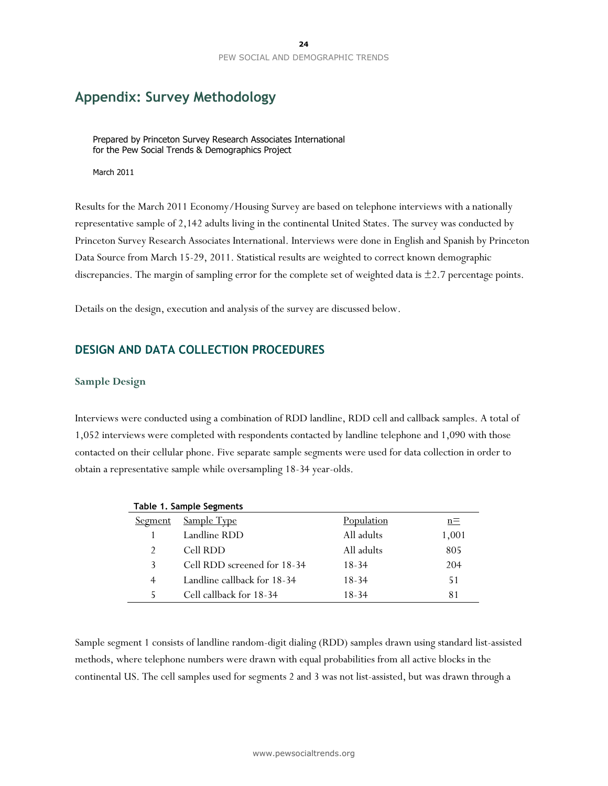# **Appendix: Survey Methodology**

Prepared by Princeton Survey Research Associates International for the Pew Social Trends & Demographics Project

March 2011

Results for the March 2011 Economy/Housing Survey are based on telephone interviews with a nationally representative sample of 2,142 adults living in the continental United States. The survey was conducted by Princeton Survey Research Associates International. Interviews were done in English and Spanish by Princeton Data Source from March 15-29, 2011. Statistical results are weighted to correct known demographic discrepancies. The margin of sampling error for the complete set of weighted data is  $\pm$ 2.7 percentage points.

Details on the design, execution and analysis of the survey are discussed below.

## **DESIGN AND DATA COLLECTION PROCEDURES**

### **Sample Design**

Interviews were conducted using a combination of RDD landline, RDD cell and callback samples. A total of 1,052 interviews were completed with respondents contacted by landline telephone and 1,090 with those contacted on their cellular phone. Five separate sample segments were used for data collection in order to obtain a representative sample while oversampling 18-34 year-olds.

| Table 1. Sample Segments |                             |            |       |  |  |
|--------------------------|-----------------------------|------------|-------|--|--|
| Segment                  | Sample Type                 | Population | $n =$ |  |  |
|                          | Landline RDD                | All adults | 1,001 |  |  |
| $\mathcal{P}$            | Cell RDD                    | All adults | 805   |  |  |
| 3                        | Cell RDD screened for 18-34 | 18-34      | 204   |  |  |
| 4                        | Landline callback for 18-34 | $18-34$    | 51    |  |  |
|                          | Cell callback for 18-34     | 18-34      | 81    |  |  |

Sample segment 1 consists of landline random-digit dialing (RDD) samples drawn using standard list-assisted methods, where telephone numbers were drawn with equal probabilities from all active blocks in the continental US. The cell samples used for segments 2 and 3 was not list-assisted, but was drawn through a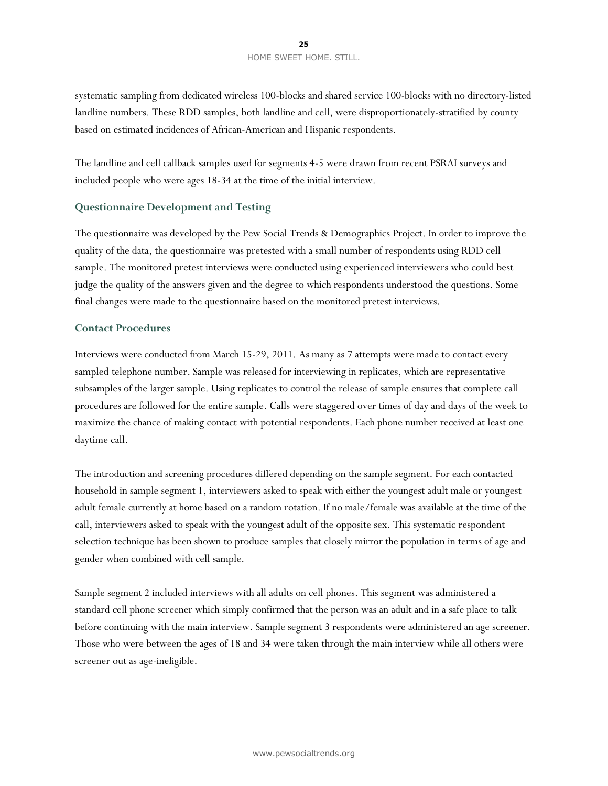### **25** HOME SWEET HOME. STILL.

systematic sampling from dedicated wireless 100-blocks and shared service 100-blocks with no directory-listed landline numbers. These RDD samples, both landline and cell, were disproportionately-stratified by county based on estimated incidences of African-American and Hispanic respondents.

The landline and cell callback samples used for segments 4-5 were drawn from recent PSRAI surveys and included people who were ages 18-34 at the time of the initial interview.

### **Questionnaire Development and Testing**

The questionnaire was developed by the Pew Social Trends & Demographics Project. In order to improve the quality of the data, the questionnaire was pretested with a small number of respondents using RDD cell sample. The monitored pretest interviews were conducted using experienced interviewers who could best judge the quality of the answers given and the degree to which respondents understood the questions. Some final changes were made to the questionnaire based on the monitored pretest interviews.

### **Contact Procedures**

Interviews were conducted from March 15-29, 2011. As many as 7 attempts were made to contact every sampled telephone number. Sample was released for interviewing in replicates, which are representative subsamples of the larger sample. Using replicates to control the release of sample ensures that complete call procedures are followed for the entire sample. Calls were staggered over times of day and days of the week to maximize the chance of making contact with potential respondents. Each phone number received at least one daytime call.

The introduction and screening procedures differed depending on the sample segment. For each contacted household in sample segment 1, interviewers asked to speak with either the youngest adult male or youngest adult female currently at home based on a random rotation. If no male/female was available at the time of the call, interviewers asked to speak with the youngest adult of the opposite sex. This systematic respondent selection technique has been shown to produce samples that closely mirror the population in terms of age and gender when combined with cell sample.

Sample segment 2 included interviews with all adults on cell phones. This segment was administered a standard cell phone screener which simply confirmed that the person was an adult and in a safe place to talk before continuing with the main interview. Sample segment 3 respondents were administered an age screener. Those who were between the ages of 18 and 34 were taken through the main interview while all others were screener out as age-ineligible.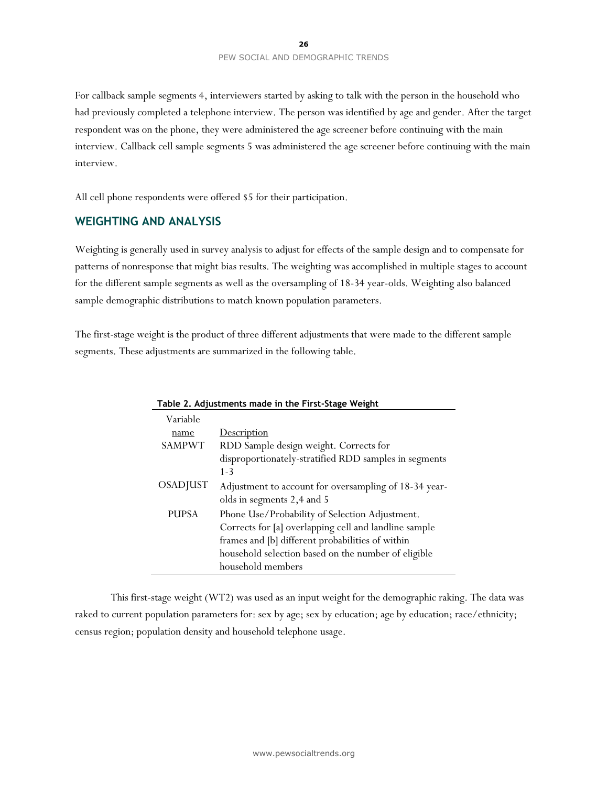For callback sample segments 4, interviewers started by asking to talk with the person in the household who had previously completed a telephone interview. The person was identified by age and gender. After the target respondent was on the phone, they were administered the age screener before continuing with the main interview. Callback cell sample segments 5 was administered the age screener before continuing with the main interview.

All cell phone respondents were offered \$5 for their participation.

### **WEIGHTING AND ANALYSIS**

Weighting is generally used in survey analysis to adjust for effects of the sample design and to compensate for patterns of nonresponse that might bias results. The weighting was accomplished in multiple stages to account for the different sample segments as well as the oversampling of 18-34 year-olds. Weighting also balanced sample demographic distributions to match known population parameters.

The first-stage weight is the product of three different adjustments that were made to the different sample segments. These adjustments are summarized in the following table.

| Variable      |                                                       |
|---------------|-------------------------------------------------------|
| name          | <b>Description</b>                                    |
| <b>SAMPWT</b> | RDD Sample design weight. Corrects for                |
|               | disproportionately-stratified RDD samples in segments |
|               | $1 - 3$                                               |
| OSADJUST      | Adjustment to account for oversampling of 18-34 year- |
|               | olds in segments 2,4 and 5                            |
| <b>PUPSA</b>  | Phone Use/Probability of Selection Adjustment.        |
|               | Corrects for [a] overlapping cell and landline sample |
|               | frames and [b] different probabilities of within      |
|               | household selection based on the number of eligible   |
|               | household members                                     |

#### **Table 2. Adjustments made in the First-Stage Weight**

This first-stage weight (WT2) was used as an input weight for the demographic raking. The data was raked to current population parameters for: sex by age; sex by education; age by education; race/ethnicity; census region; population density and household telephone usage.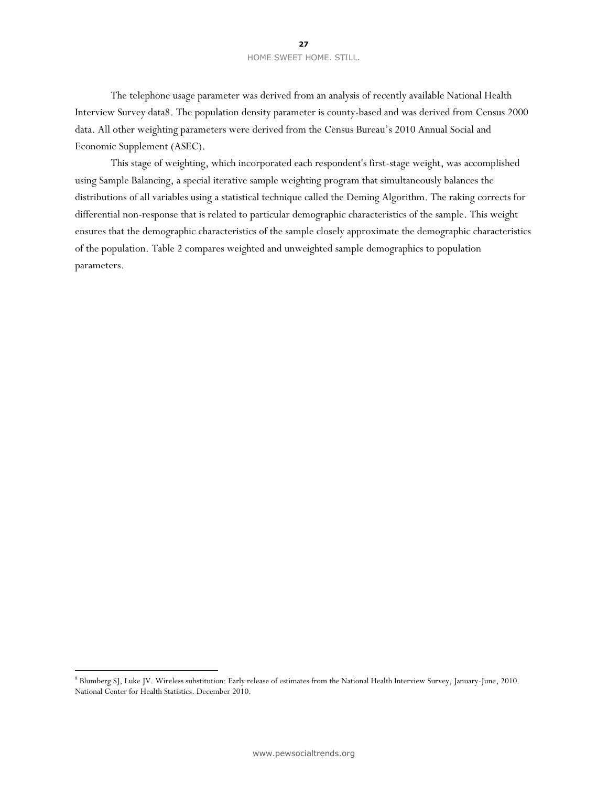The telephone usage parameter was derived from an analysis of recently available National Health Interview Survey data8. The population density parameter is county-based and was derived from Census 2000 data. All other weighting parameters were derived from the Census Bureau's 2010 Annual Social and Economic Supplement (ASEC).

This stage of weighting, which incorporated each respondent's first-stage weight, was accomplished using Sample Balancing, a special iterative sample weighting program that simultaneously balances the distributions of all variables using a statistical technique called the Deming Algorithm. The raking corrects for differential non-response that is related to particular demographic characteristics of the sample. This weight ensures that the demographic characteristics of the sample closely approximate the demographic characteristics of the population. Table 2 compares weighted and unweighted sample demographics to population parameters.

 $\overline{a}$ 

<sup>8</sup> Blumberg SJ, Luke JV. Wireless substitution: Early release of estimates from the National Health Interview Survey, January-June, 2010. National Center for Health Statistics. December 2010.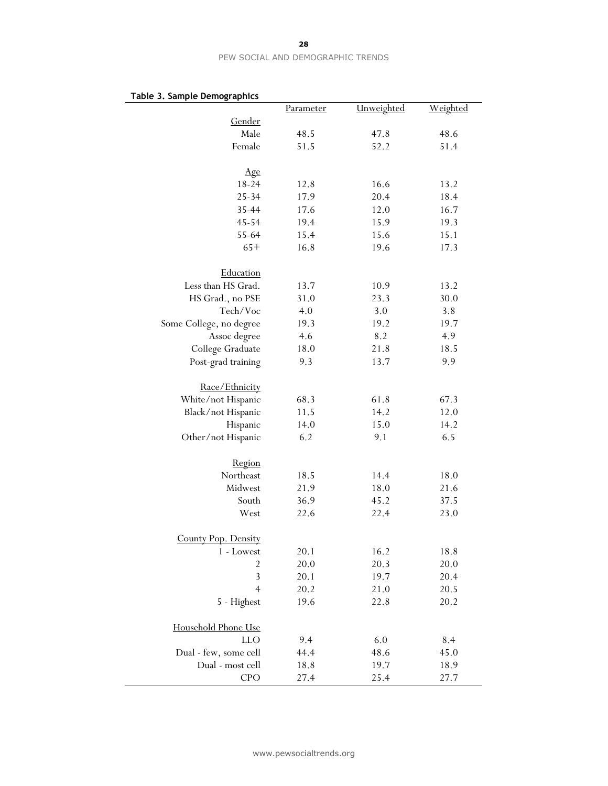| υι <del>ς</del> 5. sampie Demograpmes | Parameter | Unweighted | Weighted |
|---------------------------------------|-----------|------------|----------|
| Gender                                |           |            |          |
| Male                                  | 48.5      | 47.8       | 48.6     |
| Female                                | 51.5      | 52.2       | 51.4     |
|                                       |           |            |          |
| Age                                   |           |            |          |
| $18 - 24$                             | 12.8      | 16.6       | 13.2     |
| $25 - 34$                             | 17.9      | 20.4       | 18.4     |
| 35-44                                 | 17.6      | 12.0       | 16.7     |
| 45-54                                 | 19.4      | 15.9       | 19.3     |
| 55-64                                 | 15.4      | 15.6       | 15.1     |
| $65+$                                 | 16.8      | 19.6       | 17.3     |
|                                       |           |            |          |
| Education                             |           |            |          |
| Less than HS Grad.                    | 13.7      | 10.9       | 13.2     |
| HS Grad., no PSE                      | 31.0      | 23.3       | 30.0     |
| Tech/Voc                              | 4.0       | 3.0        | 3.8      |
| Some College, no degree               | 19.3      | 19.2       | 19.7     |
| Assoc degree                          | 4.6       | 8.2        | 4.9      |
| College Graduate                      | 18.0      | 21.8       | 18.5     |
| Post-grad training                    | 9.3       | 13.7       | 9.9      |
|                                       |           |            |          |
| Race/Ethnicity                        |           |            |          |
| White/not Hispanic                    | 68.3      | 61.8       | 67.3     |
| Black/not Hispanic                    | 11.5      | 14.2       | 12.0     |
| Hispanic                              | 14.0      | 15.0       | 14.2     |
| Other/not Hispanic                    | 6.2       | 9.1        | 6.5      |
|                                       |           |            |          |
| Region                                |           |            |          |
| Northeast                             | 18.5      | 14.4       | 18.0     |
| Midwest                               | 21.9      | 18.0       | 21.6     |
| South                                 | 36.9      | 45.2       | 37.5     |
| West                                  | 22.6      | 22.4       | 23.0     |
|                                       |           |            |          |
| County Pop. Density                   |           |            |          |
| 1 - Lowest                            | 20.1      | 16.2       | 18.8     |
| $\overline{c}$                        | 20.0      | 20.3       | 20.0     |
| 3                                     | 20.1      | 19.7       | 20.4     |
| $\overline{4}$                        | 20.2      | 21.0       | 20.5     |
|                                       |           |            |          |
| 5 - Highest                           | 19.6      | 22.8       | 20.2     |
| Household Phone Use                   |           |            |          |
| <b>LLO</b>                            | 9.4       | 6.0        | 8.4      |
| Dual - few, some cell                 | 44.4      | 48.6       | 45.0     |
| Dual - most cell                      | 18.8      | 19.7       |          |
|                                       |           |            | 18.9     |
| CPO                                   | 27.4      | 25.4       | 27.7     |

# **Table 3. Sample Demographics**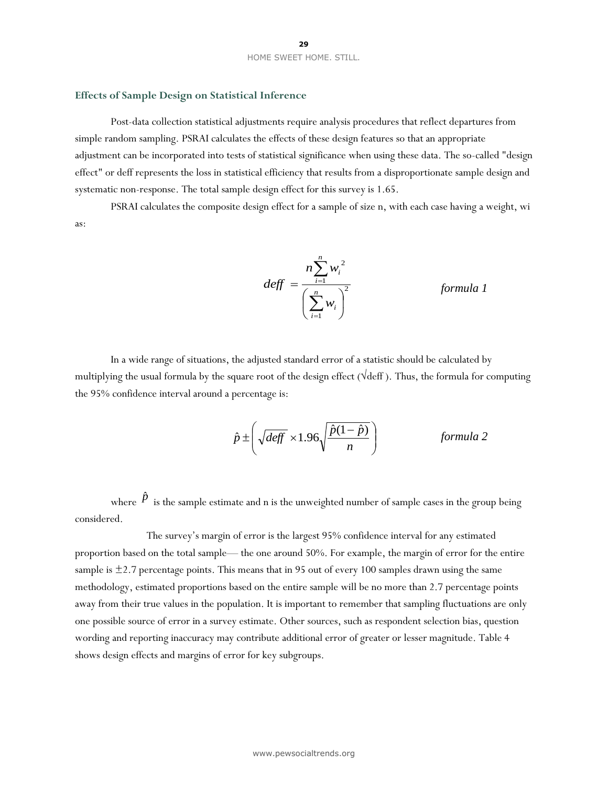#### **Effects of Sample Design on Statistical Inference**

Post-data collection statistical adjustments require analysis procedures that reflect departures from simple random sampling. PSRAI calculates the effects of these design features so that an appropriate adjustment can be incorporated into tests of statistical significance when using these data. The so-called "design effect" or deff represents the loss in statistical efficiency that results from a disproportionate sample design and systematic non-response. The total sample design effect for this survey is 1.65.

PSRAI calculates the composite design effect for a sample of size n, with each case having a weight, wi as:

$$
deff = \frac{n \sum_{i=1}^{n} w_i^2}{\left(\sum_{i=1}^{n} w_i\right)^2} \qquad \text{formula 1}
$$

In a wide range of situations, the adjusted standard error of a statistic should be calculated by multiplying the usual formula by the square root of the design effect (√deff ). Thus, the formula for computing the 95% confidence interval around a percentage is:

$$
\hat{p} \pm \left( \sqrt{\text{deff}} \times 1.96 \sqrt{\frac{\hat{p}(1-\hat{p})}{n}} \right) \qquad \text{formula 2}
$$

where  $\hat{P}$  is the sample estimate and n is the unweighted number of sample cases in the group being considered.

The survey's margin of error is the largest 95% confidence interval for any estimated proportion based on the total sample— the one around 50%. For example, the margin of error for the entire sample is  $\pm$ 2.7 percentage points. This means that in 95 out of every 100 samples drawn using the same methodology, estimated proportions based on the entire sample will be no more than 2.7 percentage points away from their true values in the population. It is important to remember that sampling fluctuations are only one possible source of error in a survey estimate. Other sources, such as respondent selection bias, question wording and reporting inaccuracy may contribute additional error of greater or lesser magnitude. Table 4 shows design effects and margins of error for key subgroups.